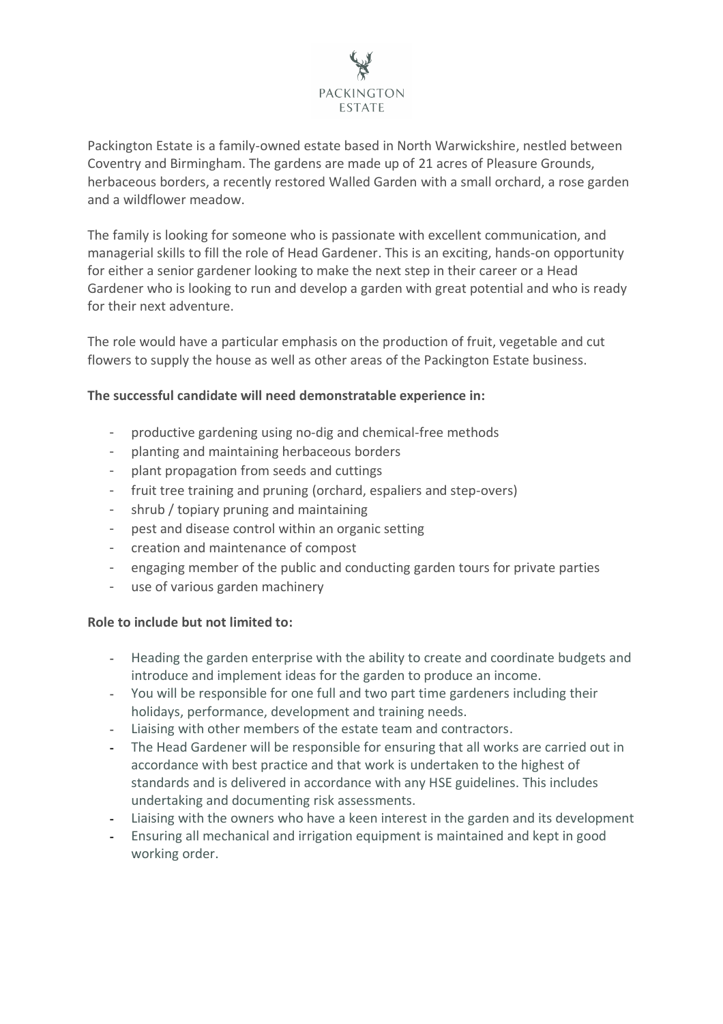

Packington Estate is a family-owned estate based in North Warwickshire, nestled between Coventry and Birmingham. The gardens are made up of 21 acres of Pleasure Grounds, herbaceous borders, a recently restored Walled Garden with a small orchard, a rose garden and a wildflower meadow.

The family is looking for someone who is passionate with excellent communication, and managerial skills to fill the role of Head Gardener. This is an exciting, hands-on opportunity for either a senior gardener looking to make the next step in their career or a Head Gardener who is looking to run and develop a garden with great potential and who is ready for their next adventure.

The role would have a particular emphasis on the production of fruit, vegetable and cut flowers to supply the house as well as other areas of the Packington Estate business.

## **The successful candidate will need demonstratable experience in:**

- productive gardening using no-dig and chemical-free methods
- planting and maintaining herbaceous borders
- plant propagation from seeds and cuttings
- fruit tree training and pruning (orchard, espaliers and step-overs)
- shrub / topiary pruning and maintaining
- pest and disease control within an organic setting
- creation and maintenance of compost
- engaging member of the public and conducting garden tours for private parties
- use of various garden machinery

## **Role to include but not limited to:**

- Heading the garden enterprise with the ability to create and coordinate budgets and introduce and implement ideas for the garden to produce an income.
- You will be responsible for one full and two part time gardeners including their holidays, performance, development and training needs.
- Liaising with other members of the estate team and contractors.
- The Head Gardener will be responsible for ensuring that all works are carried out in accordance with best practice and that work is undertaken to the highest of standards and is delivered in accordance with any HSE guidelines. This includes undertaking and documenting risk assessments.
- Liaising with the owners who have a keen interest in the garden and its development
- Ensuring all mechanical and irrigation equipment is maintained and kept in good working order.